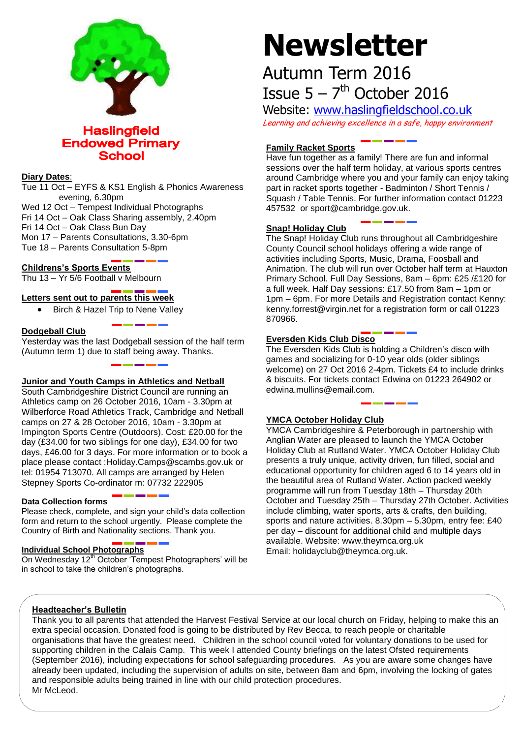

**Haslingfield Endowed Primary School** 

# **Diary Dates**:

Tue 11 Oct – EYFS & KS1 English & Phonics Awareness evening, 6.30pm Wed 12 Oct – Tempest Individual Photographs Fri 14 Oct – Oak Class Sharing assembly, 2.40pm Fri 14 Oct – Oak Class Bun Day Mon 17 – Parents Consultations, 3.30-6pm

Tue 18 – Parents Consultation 5-8pm

# **Childrens's Sports Events**

Thu 13 – Yr 5/6 Football v Melbourn

# **Letters sent out to parents this week**

• Birch & Hazel Trip to Nene Valley

#### **Dodgeball Club**

Yesterday was the last Dodgeball session of the half term (Autumn term 1) due to staff being away. Thanks.

# **Junior and Youth Camps in Athletics and Netball**

South Cambridgeshire District Council are running an Athletics camp on 26 October 2016, 10am - 3.30pm at Wilberforce Road Athletics Track, Cambridge and Netball camps on 27 & 28 October 2016, 10am - 3.30pm at Impington Sports Centre (Outdoors). Cost: £20.00 for the day (£34.00 for two siblings for one day), £34.00 for two days, £46.00 for 3 days. For more information or to book a place please contact :Holiday.Camps@scambs.gov.uk or tel: 01954 713070. All camps are arranged by Helen Stepney Sports Co-ordinator m: 07732 222905

#### **Data Collection forms**

Please check, complete, and sign your child's data collection form and return to the school urgently. Please complete the Country of Birth and Nationality sections. Thank you.

#### **Individual School Photographs**

On Wednesday 12<sup>th</sup> October 'Tempest Photographers' will be in school to take the children's photographs.

# **Newsletter**

# Autumn Term 2016 Issue  $5 - 7$ <sup>th</sup> October 2016

Website: [www.haslingfieldschool.co.uk](http://www.haslingfieldschool.co.uk/) Learning and achieving excellence in a safe, happy environment

# **Family Racket Sports**

Have fun together as a family! There are fun and informal sessions over the half term holiday, at various sports centres around Cambridge where you and your family can enjoy taking part in racket sports together - Badminton / Short Tennis / Squash / Table Tennis. For further information contact 01223 457532 or sport@cambridge.gov.uk.

#### **Snap! Holiday Club**

The Snap! Holiday Club runs throughout all Cambridgeshire County Council school holidays offering a wide range of activities including Sports, Music, Drama, Foosball and Animation. The club will run over October half term at Hauxton Primary School. Full Day Sessions, 8am – 6pm: £25 /£120 for a full week. Half Day sessions: £17.50 from 8am – 1pm or 1pm – 6pm. For more Details and Registration contact Kenny: kenny.forrest@virgin.net for a registration form or call 01223 870966.

#### **Eversden Kids Club Disco**

The Eversden Kids Club is holding a Children's disco with games and socializing for 0-10 year olds (older siblings welcome) on 27 Oct 2016 2-4pm. Tickets £4 to include drinks & biscuits. For tickets contact Edwina on 01223 264902 or edwina.mullins@email.com.

#### **YMCA October Holiday Club**

YMCA Cambridgeshire & Peterborough in partnership with Anglian Water are pleased to launch the YMCA October Holiday Club at Rutland Water. YMCA October Holiday Club presents a truly unique, activity driven, fun filled, social and educational opportunity for children aged 6 to 14 years old in the beautiful area of Rutland Water. Action packed weekly programme will run from Tuesday 18th – Thursday 20th October and Tuesday 25th – Thursday 27th October. Activities include climbing, water sports, arts & crafts, den building, sports and nature activities. 8.30pm – 5.30pm, entry fee: £40 per day – discount for additional child and multiple days available. Website: www.theymca.org.uk Email: holidayclub@theymca.org.uk.

#### **Headteacher's Bulletin**

Thank you to all parents that attended the Harvest Festival Service at our local church on Friday, helping to make this an extra special occasion. Donated food is going to be distributed by Rev Becca, to reach people or charitable organisations that have the greatest need. Children in the school council voted for voluntary donations to be used for supporting children in the Calais Camp. This week I attended County briefings on the latest Ofsted requirements (September 2016), including expectations for school safeguarding procedures. As you are aware some changes have already been updated, including the supervision of adults on site, between 8am and 6pm, involving the locking of gates and responsible adults being trained in line with our child protection procedures. Mr McLeod.